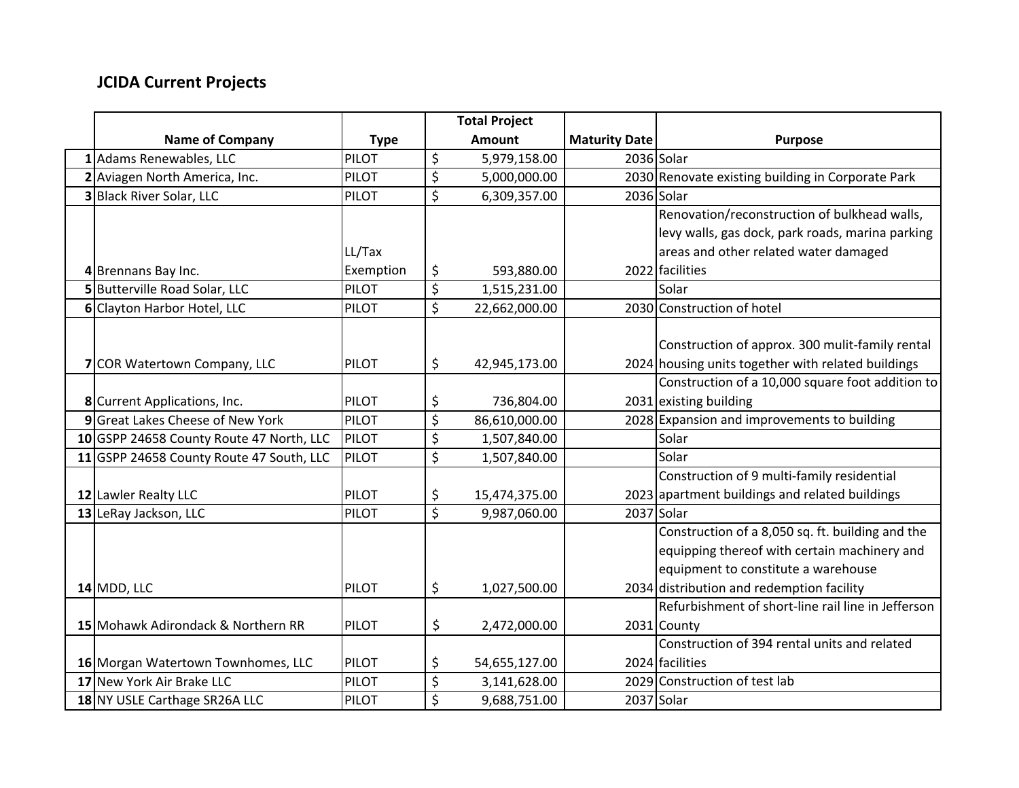## **JCIDA Current Projects**

|                                          |              | <b>Total Project</b> |                      |                                                    |
|------------------------------------------|--------------|----------------------|----------------------|----------------------------------------------------|
| <b>Name of Company</b>                   | <b>Type</b>  | <b>Amount</b>        | <b>Maturity Date</b> | <b>Purpose</b>                                     |
| 1 Adams Renewables, LLC                  | <b>PILOT</b> | \$<br>5,979,158.00   | 2036 Solar           |                                                    |
| 2 Aviagen North America, Inc.            | <b>PILOT</b> | \$<br>5,000,000.00   |                      | 2030 Renovate existing building in Corporate Park  |
| 3 Black River Solar, LLC                 | <b>PILOT</b> | \$<br>6,309,357.00   |                      | 2036 Solar                                         |
|                                          |              |                      |                      | Renovation/reconstruction of bulkhead walls,       |
|                                          |              |                      |                      | levy walls, gas dock, park roads, marina parking   |
|                                          | LL/Tax       |                      |                      | areas and other related water damaged              |
| 4 Brennans Bay Inc.                      | Exemption    | \$<br>593,880.00     |                      | 2022 facilities                                    |
| 5 Butterville Road Solar, LLC            | <b>PILOT</b> | \$<br>1,515,231.00   |                      | Solar                                              |
| 6 Clayton Harbor Hotel, LLC              | <b>PILOT</b> | \$<br>22,662,000.00  |                      | 2030 Construction of hotel                         |
|                                          |              |                      |                      |                                                    |
|                                          |              |                      |                      | Construction of approx. 300 mulit-family rental    |
| 7 COR Watertown Company, LLC             | PILOT        | \$<br>42,945,173.00  |                      | 2024 housing units together with related buildings |
|                                          |              |                      |                      | Construction of a 10,000 square foot addition to   |
| 8 Current Applications, Inc.             | <b>PILOT</b> | \$<br>736,804.00     |                      | 2031 existing building                             |
| 9 Great Lakes Cheese of New York         | <b>PILOT</b> | \$<br>86,610,000.00  |                      | 2028 Expansion and improvements to building        |
| 10 GSPP 24658 County Route 47 North, LLC | <b>PILOT</b> | \$<br>1,507,840.00   |                      | Solar                                              |
| 11 GSPP 24658 County Route 47 South, LLC | PILOT        | \$<br>1,507,840.00   |                      | Solar                                              |
|                                          |              |                      |                      | Construction of 9 multi-family residential         |
| 12 Lawler Realty LLC                     | PILOT        | \$<br>15,474,375.00  |                      | 2023 apartment buildings and related buildings     |
| 13 LeRay Jackson, LLC                    | <b>PILOT</b> | \$<br>9,987,060.00   |                      | 2037 Solar                                         |
|                                          |              |                      |                      | Construction of a 8,050 sq. ft. building and the   |
|                                          |              |                      |                      | equipping thereof with certain machinery and       |
|                                          |              |                      |                      | equipment to constitute a warehouse                |
| $14$ MDD, LLC                            | PILOT        | \$<br>1,027,500.00   |                      | 2034 distribution and redemption facility          |
|                                          |              |                      |                      | Refurbishment of short-line rail line in Jefferson |
| 15 Mohawk Adirondack & Northern RR       | <b>PILOT</b> | \$<br>2,472,000.00   |                      | 2031 County                                        |
|                                          |              |                      |                      | Construction of 394 rental units and related       |
| 16 Morgan Watertown Townhomes, LLC       | PILOT        | \$<br>54,655,127.00  |                      | 2024 facilities                                    |
| 17 New York Air Brake LLC                | <b>PILOT</b> | \$<br>3,141,628.00   |                      | 2029 Construction of test lab                      |
| 18 NY USLE Carthage SR26A LLC            | <b>PILOT</b> | \$<br>9,688,751.00   |                      | 2037 Solar                                         |